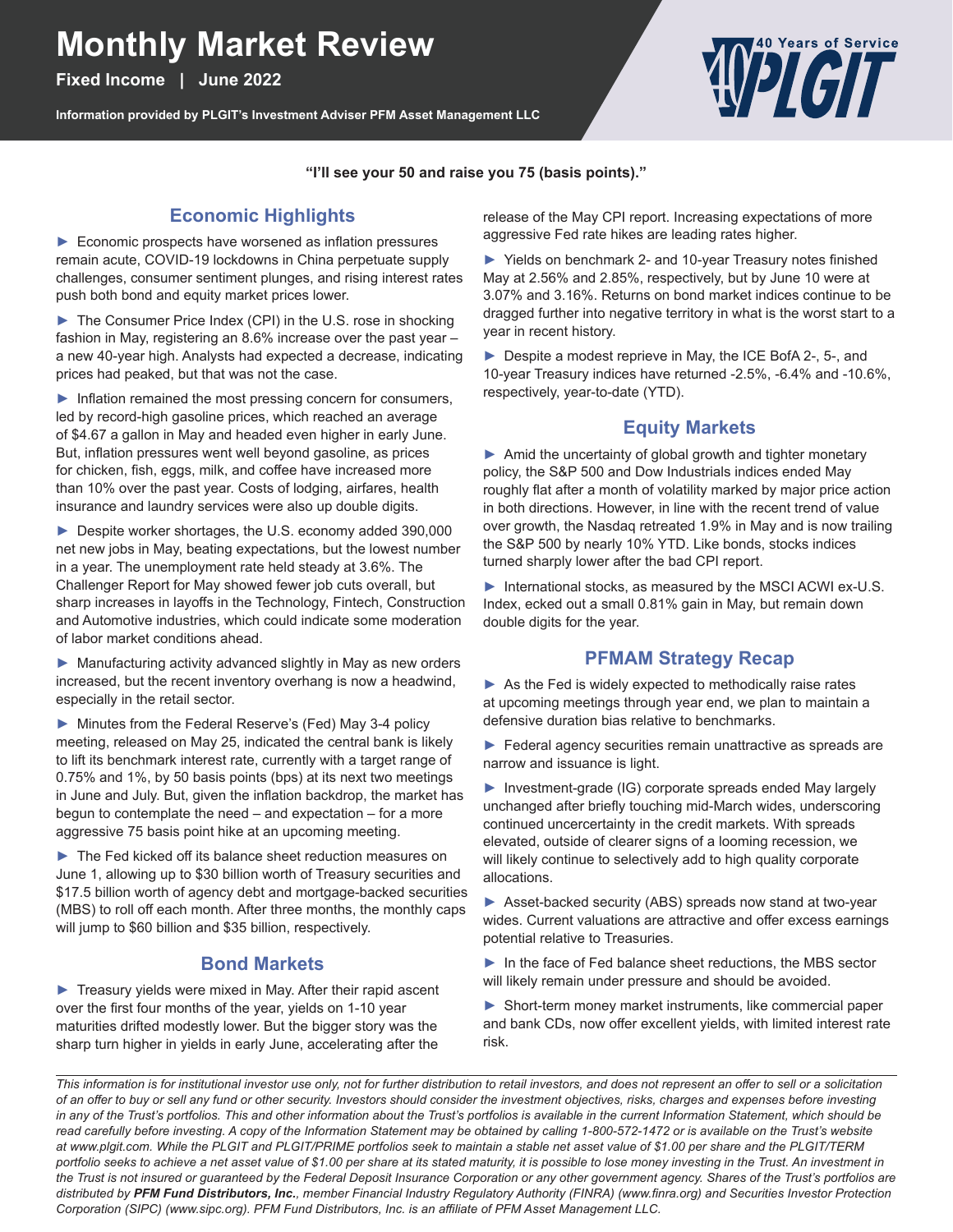# **Monthly Market Review**

**Fixed Income | June 2022**

**Information provided by PLGIT's Investment Adviser PFM Asset Management LLC**



**"I'll see your 50 and raise you 75 (basis points)."**

## **Economic Highlights**

► Economic prospects have worsened as inflation pressures remain acute, COVID-19 lockdowns in China perpetuate supply challenges, consumer sentiment plunges, and rising interest rates push both bond and equity market prices lower.

► The Consumer Price Index (CPI) in the U.S. rose in shocking fashion in May, registering an 8.6% increase over the past year – a new 40-year high. Analysts had expected a decrease, indicating prices had peaked, but that was not the case.

► Inflation remained the most pressing concern for consumers, led by record-high gasoline prices, which reached an average of \$4.67 a gallon in May and headed even higher in early June. But, inflation pressures went well beyond gasoline, as prices for chicken, fish, eggs, milk, and coffee have increased more than 10% over the past year. Costs of lodging, airfares, health insurance and laundry services were also up double digits.

► Despite worker shortages, the U.S. economy added 390,000 net new jobs in May, beating expectations, but the lowest number in a year. The unemployment rate held steady at 3.6%. The Challenger Report for May showed fewer job cuts overall, but sharp increases in layoffs in the Technology, Fintech, Construction and Automotive industries, which could indicate some moderation of labor market conditions ahead.

► Manufacturing activity advanced slightly in May as new orders increased, but the recent inventory overhang is now a headwind, especially in the retail sector.

► Minutes from the Federal Reserve's (Fed) May 3-4 policy meeting, released on May 25, indicated the central bank is likely to lift its benchmark interest rate, currently with a target range of 0.75% and 1%, by 50 basis points (bps) at its next two meetings in June and July. But, given the inflation backdrop, the market has begun to contemplate the need – and expectation – for a more aggressive 75 basis point hike at an upcoming meeting.

► The Fed kicked off its balance sheet reduction measures on June 1, allowing up to \$30 billion worth of Treasury securities and \$17.5 billion worth of agency debt and mortgage-backed securities (MBS) to roll off each month. After three months, the monthly caps will jump to \$60 billion and \$35 billion, respectively.

#### **Bond Markets**

► Treasury yields were mixed in May. After their rapid ascent over the first four months of the year, yields on 1-10 year maturities drifted modestly lower. But the bigger story was the sharp turn higher in yields in early June, accelerating after the

release of the May CPI report. Increasing expectations of more aggressive Fed rate hikes are leading rates higher.

► Yields on benchmark 2- and 10-year Treasury notes finished May at 2.56% and 2.85%, respectively, but by June 10 were at 3.07% and 3.16%. Returns on bond market indices continue to be dragged further into negative territory in what is the worst start to a year in recent history.

► Despite a modest reprieve in May, the ICE BofA 2-, 5-, and 10-year Treasury indices have returned -2.5%, -6.4% and -10.6%, respectively, year-to-date (YTD).

### **Equity Markets**

▶ Amid the uncertainty of global growth and tighter monetary policy, the S&P 500 and Dow Industrials indices ended May roughly flat after a month of volatility marked by major price action in both directions. However, in line with the recent trend of value over growth, the Nasdaq retreated 1.9% in May and is now trailing the S&P 500 by nearly 10% YTD. Like bonds, stocks indices turned sharply lower after the bad CPI report.

► International stocks, as measured by the MSCI ACWI ex-U.S. Index, ecked out a small 0.81% gain in May, but remain down double digits for the year.

#### **PFMAM Strategy Recap**

▶ As the Fed is widely expected to methodically raise rates at upcoming meetings through year end, we plan to maintain a defensive duration bias relative to benchmarks.

▶ Federal agency securities remain unattractive as spreads are narrow and issuance is light.

► Investment-grade (IG) corporate spreads ended May largely unchanged after briefly touching mid-March wides, underscoring continued uncercertainty in the credit markets. With spreads elevated, outside of clearer signs of a looming recession, we will likely continue to selectively add to high quality corporate allocations.

► Asset-backed security (ABS) spreads now stand at two-year wides. Current valuations are attractive and offer excess earnings potential relative to Treasuries.

► In the face of Fed balance sheet reductions, the MBS sector will likely remain under pressure and should be avoided.

► Short-term money market instruments, like commercial paper and bank CDs, now offer excellent yields, with limited interest rate risk.

*This information is for institutional investor use only, not for further distribution to retail investors, and does not represent an offer to sell or a solicitation of an offer to buy or sell any fund or other security. Investors should consider the investment objectives, risks, charges and expenses before investing in any of the Trust's portfolios. This and other information about the Trust's portfolios is available in the current Information Statement, which should be*  read carefully before investing. A copy of the Information Statement may be obtained by calling 1-800-572-1472 or is available on the Trust's website *at www.plgit.com. While the PLGIT and PLGIT/PRIME portfolios seek to maintain a stable net asset value of \$1.00 per share and the PLGIT/TERM portfolio seeks to achieve a net asset value of \$1.00 per share at its stated maturity, it is possible to lose money investing in the Trust. An investment in the Trust is not insured or guaranteed by the Federal Deposit Insurance Corporation or any other government agency. Shares of the Trust's portfolios are distributed by PFM Fund Distributors, Inc., member Financial Industry Regulatory Authority (FINRA) (www.finra.org) and Securities Investor Protection Corporation (SIPC) (www.sipc.org). PFM Fund Distributors, Inc. is an affiliate of PFM Asset Management LLC.*